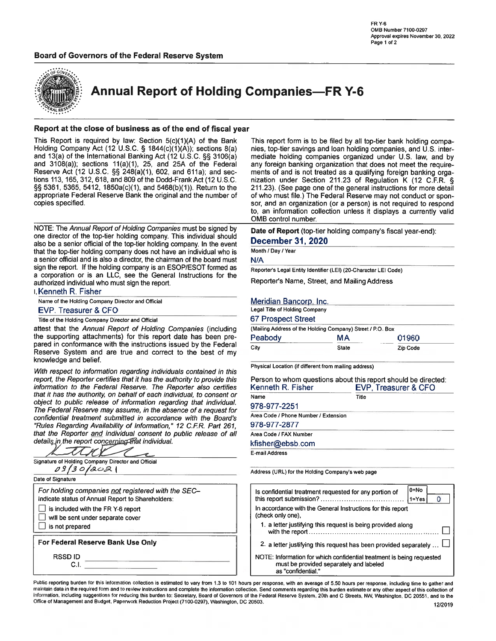# **Board of Governors of the Federal Reserve System**



**Annual Report of Holding Companies-FR Y-6** 

## Report at the close of business as of the end of fiscal year

This Report is required by law: Section 5(c)(1)(A) of the Bank Holding Company Act (12 U.S.C. § 1844(c)(1)(A)); sections 8(a) and 13(a) of the International Banking Act (12 U.S.C. §§ 3106(a) and  $3108(a)$ ; sections  $11(a)(1)$ ,  $25$ , and  $25A$  of the Federal Reserve Act (12 U.S.C. §§ 248(a)(1), 602, and 611a); and sections 113, 165, 312, 618, and 809 of the Dodd-Frank Act (12 U.S.C. §§ 5361, 5365, 5412, 1850a(c)(1), and 5468(b)(1)). Return to the appropriate Federal Reserve Bank the original and the number of copies specified.

NOTE: The Annual Report of Holding Companies must be signed by one director of the top-tier holding company. This individual should also be a senior official of the top-tier holding company. In the event that the top-tier holding company does not have an individual who is a senior official and is also a director, the chairman of the board must sign the report. If the holding company is an ESOP/ESOT formed as a corporation or is an LLC, see the General Instructions for the authorized individual who must sign the report.

I. Kenneth R. Fisher

Name of the Holding Company Director and Official

## EVP. Treasurer & CFO

Title of the Holding Company Director and Official

attest that the Annual Report of Holding Companies (including the supporting attachments) for this report date has been prepared in conformance with the instructions issued by the Federal Reserve System and are true and correct to the best of my knowledge and belief.

With respect to information regarding individuals contained in this report, the Reporter certifies that it has the authority to provide this information to the Federal Reserve. The Reporter also certifies that it has the authority, on behalf of each individual, to consent or object to public release of information regarding that individual. The Federal Reserve may assume, in the absence of a request for confidential treatment submitted in accordance with the Board's "Rules Regarding Availability of Information," 12 C.F.R. Part 261, that the Reporter and individual consent to public release of all details in the report concerning that individual

| Signature of Holding Company Director and Official<br>0913018021                                                                                                                                      |  |
|-------------------------------------------------------------------------------------------------------------------------------------------------------------------------------------------------------|--|
| Date of Signature                                                                                                                                                                                     |  |
| For holding companies not registered with the SEC-<br>Indicate status of Annual Report to Shareholders:<br>is included with the FR Y-6 report<br>will be sent under separate cover<br>is not prepared |  |
| For Federal Reserve Bank Use Only                                                                                                                                                                     |  |
| <b>RSSD ID</b><br>C I                                                                                                                                                                                 |  |

This report form is to be filed by all top-tier bank holding companies, top-tier savings and loan holding companies, and U.S. intermediate holding companies organized under U.S. law, and by any foreign banking organization that does not meet the requirements of and is not treated as a qualifying foreign banking organization under Section 211.23 of Regulation K (12 C.F.R. § 211.23). (See page one of the general instructions for more detail of who must file.) The Federal Reserve may not conduct or sponsor, and an organization (or a person) is not required to respond to, an information collection unless it displays a currently valid OMB control number.

Date of Report (top-tier holding company's fiscal year-end): **December 31, 2020** 

# Month / Day / Year

 $N/A$ 

Reporter's Legal Entity Identifier (LEI) (20-Character LEI Code)

Reporter's Name, Street, and Mailing Address

## Meridian Bancorp, Inc.

|  |  |  |  | Legal Title of Holding Company |
|--|--|--|--|--------------------------------|
|--|--|--|--|--------------------------------|

## **67 Prospect Street**

|         | (Mailing Address of the Holding Company) Street / P.O. Box |          |  |
|---------|------------------------------------------------------------|----------|--|
| Peabody | МA                                                         | 01960    |  |
| City    | State                                                      | Zip Code |  |

Physical Location (if different from mailing address)

| Person to whom questions about this report should be directed:<br>Kenneth R. Fisher | EVP. Treasurer & CFO |
|-------------------------------------------------------------------------------------|----------------------|
| Name                                                                                | Title                |
| 978-977-2251                                                                        |                      |
| Area Code / Phone Number / Extension                                                |                      |
| 978-977-2877                                                                        |                      |
| Area Code / FAX Number                                                              |                      |
| kfisher@ebsb.com                                                                    |                      |
| E-mail Address                                                                      |                      |

Address (URL) for the Holding Company's web page

| $0 = No$<br>Is confidential treatment requested for any portion of<br>$1 = Yes$                                                        |
|----------------------------------------------------------------------------------------------------------------------------------------|
| In accordance with the General Instructions for this report<br>(check only one).                                                       |
| 1. a letter justifying this request is being provided along                                                                            |
| 2. a letter justifying this request has been provided separately $\Box$                                                                |
| NOTE: Information for which confidential treatment is being requested<br>must be provided separately and labeled<br>as "confidential." |

Public reporting burden for this information collection is estimated to vary from 1.3 to 101 hours per response, with an average of 5.50 hours per response, including time to gather and maintain data in the required form and to review instructions and complete the information collection. Send comments regarding this burden estimate or any other aspect of this collection of information, including suggestions for reducing this burden to: Secretary, Board of Governors of the Federal Reserve System, 20th and C Streets, NW, Washington, DC 20551, and to the Office of Management and Budget, Paperwork Reduction Project (7100-0297), Washington, DC 20503.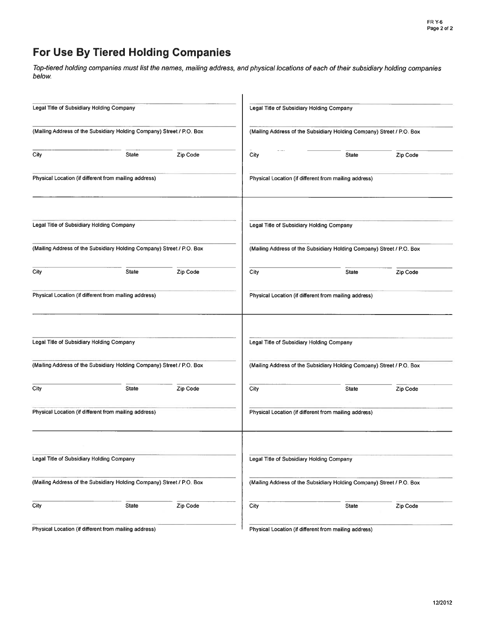# For Use By Tiered Holding Companies

Top-tiered holding companies must list the names, mailing address, and physical locations of each of their subsidiary holding companies below.

| Legal Title of Subsidiary Holding Company |                                                                       |          |      | Legal Title of Subsidiary Holding Company                             |          |
|-------------------------------------------|-----------------------------------------------------------------------|----------|------|-----------------------------------------------------------------------|----------|
|                                           | (Mailing Address of the Subsidiary Holding Company) Street / P.O. Box |          |      | (Mailing Address of the Subsidiary Holding Company) Street / P.O. Box |          |
| City                                      | <b>State</b>                                                          | Zip Code | City | <b>State</b>                                                          | Zip Code |
|                                           | Physical Location (if different from mailing address)                 |          |      | Physical Location (if different from mailing address)                 |          |
| Legal Title of Subsidiary Holding Company |                                                                       |          |      | Legal Title of Subsidiary Holding Company                             |          |
|                                           | (Mailing Address of the Subsidiary Holding Company) Street / P.O. Box |          |      | (Mailing Address of the Subsidiary Holding Company) Street / P.O. Box |          |
| City                                      | <b>State</b>                                                          | Zip Code | City | State                                                                 | Zip Code |
|                                           | Physical Location (if different from mailing address)                 |          |      | Physical Location (if different from mailing address)                 |          |
| Legal Title of Subsidiary Holding Company |                                                                       |          |      | Legal Title of Subsidiary Holding Company                             |          |
|                                           | (Mailing Address of the Subsidiary Holding Company) Street / P.O. Box |          |      | (Mailing Address of the Subsidiary Holding Company) Street / P.O. Box |          |
| City                                      | State                                                                 | Zip Code | City | <b>State</b>                                                          | Zip Code |
|                                           | Physical Location (if different from mailing address)                 |          |      | Physical Location (if different from mailing address)                 |          |
| Legal Title of Subsidiary Holding Company |                                                                       |          |      | Legal Title of Subsidiary Holding Company                             |          |
|                                           | (Mailing Address of the Subsidiary Holding Company) Street / P.O. Box |          |      | (Mailing Address of the Subsidiary Holding Company) Street / P.O. Box |          |
| City                                      | <b>State</b>                                                          | Zip Code | City | <b>State</b>                                                          | Zip Code |
|                                           | Physical Location (if different from mailing address)                 |          |      | Physical Location (if different from mailing address)                 |          |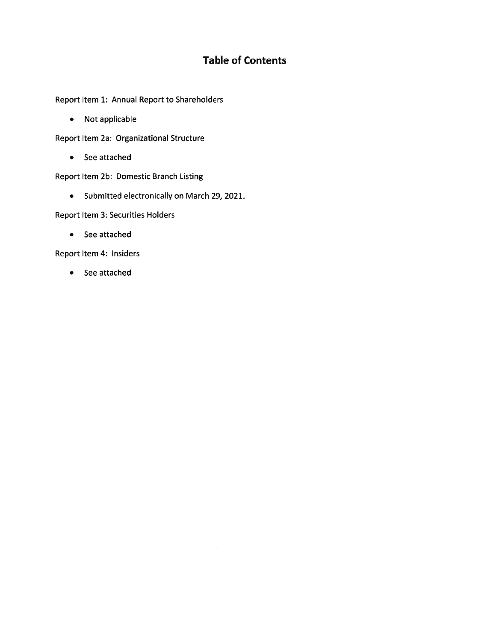# **Table of Contents**

Report Item 1: Annual Report to Shareholders

• Not applicable

Report Item 2a: Organizational Structure

• See attached

Report Item 2b: Domestic Branch Listing

• Submitted electronically on March 29, 2021.

**Report Item 3: Securities Holders** 

• See attached

Report Item 4: Insiders

• See attached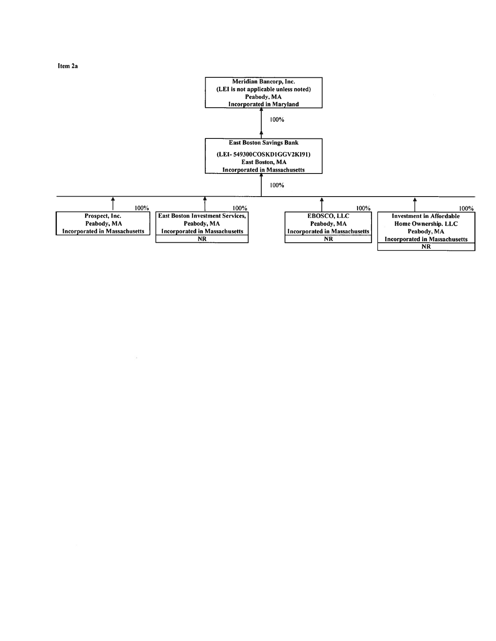Item 2a

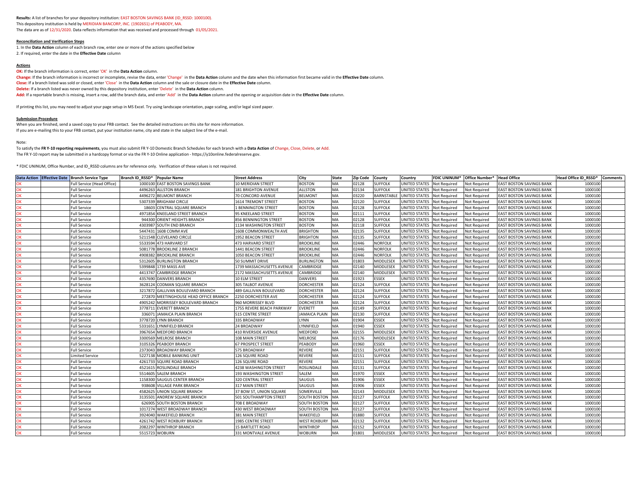### **Results:** A list of branches for your depository institution: EAST BOSTON SAVINGS BANK (ID\_RSSD: 1000100). This depository institution is held by MERIDIAN BANCORP, INC. (1902651) of PEABODY, MA. The data are as of 12/31/2020. Data reflects information that was received and processed through 01/05/2021.

### **Reconciliation and Verification Steps**

1. In the **Data Action** column of each branch row, enter one or more of the actions specified below 2. If required, enter the date in the **Effective Date** column

### **Actions**

**OK:** If the branch information is correct, enter 'OK' in the **Data Action** column.

**Change:** If the branch information is incorrect or incomplete, revise the data, enter 'Change' in the **Data Action** column and the date when this information first became valid in the **Effective Date** column.

**Close:** If a branch listed was sold or closed, enter 'Close' in the **Data Action** column and the sale or closure date in the **Effective Date** column.

**Delete:** If a branch listed was never owned by this depository institution, enter 'Delete' in the **Data Action** column.

**Add:** If a reportable branch is missing, insert a row, add the branch data, and enter 'Add' in the **Data Action** column and the opening or acquisition date in the **Effective Date** column.

If printing this list, you may need to adjust your page setup in MS Excel. Try using landscape orientation, page scaling, and/or legal sized paper.

#### **Submission Procedure**

When you are finished, send a saved copy to your FRB contact. See the detailed instructions on this site for more information. If you are e-mailing this to your FRB contact, put your institution name, city and state in the subject line of the e-mail.

#### Note:

To satisfy the **FR Y-10 reporting requirements**, you must also submit FR Y-10 Domestic Branch Schedules for each branch with a **Data Action** of Change, Close, Delete, or Add. The FR Y-10 report may be submitted in a hardcopy format or via the FR Y-10 Online application - https://y10online.federalreserve.gov.

\* FDIC UNINUM, Office Number, and ID\_RSSD columns are for reference only. Verification of these values is not required.

|    | Data Action Effective Date Branch Service Type | Branch ID RSSD* | <b>Popular Name</b>                  | <b>Street Address</b>       | City                | <b>State</b> | <b>Zip Code</b> | County           | Country                    | <b>FDIC UNINUM*</b> | Office Number* | <b>Head Office</b>              | Head Office ID RSSD* | <b>Comments</b> |
|----|------------------------------------------------|-----------------|--------------------------------------|-----------------------------|---------------------|--------------|-----------------|------------------|----------------------------|---------------------|----------------|---------------------------------|----------------------|-----------------|
|    | Full Service (Head Office)                     | 1000100         | EAST BOSTON SAVINGS BANK             | 10 MERIDIAN STREET          | <b>BOSTON</b>       | MA           | 02128           | <b>SUFFOLK</b>   | UNITED STATES Not Required |                     | Not Required   | EAST BOSTON SAVINGS BANK        | 1000100              |                 |
| OK | <b>Full Service</b>                            | 4496263         | <b>ALLSTON BRANCH</b>                | 181 BRIGHTON AVENUE         | <b>ALLSTON</b>      | MA           | 02134           | <b>SUFFOLK</b>   | UNITED STATES              | <b>Not Required</b> | Not Required   | EAST BOSTON SAVINGS BANK        | 1000100              |                 |
| OK | <b>Full Service</b>                            | 449627          | <b>BELMONT BRANCH</b>                | 70 CONCORD AVENUE           | <b>BELMONT</b>      | MA           | 03220           | <b>BARNSTABL</b> | UNITED STATES              | Not Required        | Not Required   | EAST BOSTON SAVINGS BANK        | 1000100              |                 |
| OK | <b>Full Service</b>                            | 530733          | <b>BRIGHAM CIRCLE</b>                | <b>1614 TREMONT STREET</b>  | <b>BOSTON</b>       | MA           | 02120           | <b>SUFFOLK</b>   | <b>JNITED STATES</b>       | Not Required        | Not Required   | EAST BOSTON SAVINGS BANK        | 1000100              |                 |
| OK | <b>Full Service</b>                            | 18603           | CENTRAL SQUARE BRANCH                | 1 BENNINGTON STREET         | <b>BOSTON</b>       | MA           | 02128           | <b>SUFFOLK</b>   | UNITED STATES              | Not Required        | Not Required   | <b>EAST BOSTON SAVINGS BANK</b> | 1000100              |                 |
| OK | <b>Full Service</b>                            | 4971854         | <b><i>CNEELAND STREET BRANCH</i></b> | 95 KNEELAND STREET          | <b>BOSTON</b>       | MA           | 02111           | <b>SUFFOLK</b>   | UNITED STATES              | <b>Not Required</b> | Not Required   | EAST BOSTON SAVINGS BANK        | 1000100              |                 |
| OK | <b>Full Service</b>                            | 944300          | ORIENT HEIGHTS BRANCH                | 856 BENNINGTON STREET       | <b>BOSTON</b>       | MA           | 02128           | <b>SUFFOLK</b>   | UNITED STATES              | Not Required        | Not Required   | EAST BOSTON SAVINGS BANK        | 1000100              |                 |
| OK | <b>Full Service</b>                            | 4303987         | SOUTH END BRANCH                     | 1134 WASHINGTON STREET      | <b>BOSTON</b>       | MA           | 02118           | <b>SUFFOLK</b>   | UNITED STATES Not Required |                     | Not Required   | <b>EAST BOSTON SAVINGS BANK</b> | 1000100              |                 |
| OK | <b>Full Service</b>                            | 5447431         | 1608 COMM AVE                        | 1608 COMMONWEALTH AVE       | <b>BRIGHTON</b>     | MA           | 02135           | <b>SUFFOLK</b>   | UNITED STATES              | <b>Not Required</b> | Not Required   | EAST BOSTON SAVINGS BANK        | 1000100              |                 |
| OK | <b>Full Service</b>                            | 5211548         | CLEVELAND CIRCLE                     | 1952 BEACON STREET          | <b>BRIGHTON</b>     | MA           | 02135           | <b>SUFFOLK</b>   | UNITED STATES              | <b>Not Required</b> | Not Required   | <b>EAST BOSTON SAVINGS BANK</b> | 1000100              |                 |
| OK | <b>Full Service</b>                            | 5533594         | 473 HARVARD ST                       | 473 HARVARD STREET          | <b>BROOKLINE</b>    | MA           | 02446           | <b>NORFOLK</b>   | UNITED STATES Not Required |                     | Not Required   | <b>EAST BOSTON SAVINGS BANK</b> | 1000100              |                 |
| OK | <b>Full Service</b>                            | 5081778         | <b>BROOKLINE 2 BRANCH</b>            | 1441 BEACON STREET          | <b>BROOKLINE</b>    | MA           | 02446           | <b>NORFOLK</b>   | UNITED STATES              | <b>Not Required</b> | Not Required   | <b>EAST BOSTON SAVINGS BANK</b> | 1000100              |                 |
| OK | <b>Full Service</b>                            | 490838          | <b>BROOKLINE BRANCH</b>              | 1050 BEACON STREET          | <b>BROOKLINE</b>    | MA           | 02446           | <b>NORFOLK</b>   | UNITED STATES Not Required |                     | Not Required   | <b>EAST BOSTON SAVINGS BANK</b> | 1000100              |                 |
| OK | <b>Full Service</b>                            | 5312605         | BURLINGTON BRANCH                    | 50 SUMMIT DRIVE             | <b>BURLINGTON</b>   | MA           | 01803           | MIDDLESEX        | UNITED STATES              | Not Required        | Not Required   | <b>EAST BOSTON SAVINGS BANK</b> | 1000100              |                 |
| OK | <b>Full Service</b>                            | 5399848         | 1739 MASS AVE                        | 1739 MASSACHUSETTS AVENUE   | CAMBRIDGE           | MA           | 02140           | MIDDLESEX        | UNITED STATES              | <b>Not Required</b> | Not Required   | EAST BOSTON SAVINGS BANK        | 1000100              |                 |
| OK | <b>Full Service</b>                            | 441374          | CAMBRIDGE BRANCH                     | 2172 MASSACHUSETTS AVENUE   | CAMBRIDGE           | MA           | 02140           | MIDDLESEX        | UNITED STATES              | <b>Not Required</b> | Not Required   | EAST BOSTON SAVINGS BANK        | 1000100              |                 |
| OK | <b>Full Service</b>                            | 4357690         | <b>DANVERS BRANCH</b>                | 10 ELM STREET               | <b>DANVERS</b>      | МA           | 01923           | <b>ESSEX</b>     | UNITED STATES              | <b>Not Required</b> | Not Reauired   | EAST BOSTON SAVINGS BANK        | 1000100              |                 |
| OK | <b>Full Service</b>                            | 3628124         | CODMAN SQUARE BRANCH                 | 305 TALBOT AVENUE           | <b>DORCHESTER</b>   | МA           | 02124           | <b>SUFFOLK</b>   | UNITED STATES Not Required |                     | Not Required   | EAST BOSTON SAVINGS BANK        | 1000100              |                 |
| OK | <b>Full Service</b>                            | 321787          | GALLIVAN BOULEVARD BRANCH            | 489 GALLIVAN BOULEVARD      | <b>DORCHESTER</b>   | МA           | 02124           | <b>SUFFOLK</b>   | UNITED STATES              | <b>Not Required</b> | Not Required   | EAST BOSTON SAVINGS BANK        | 1000100              |                 |
| OK | <b>Full Service</b>                            | 27287           | MEETINGHOUSE HEAD OFFICE BRANCH      | 2250 DORCHESTER AVE         | <b>DORCHESTER</b>   | МA           | 02124           | <b>SUFFOLK</b>   | UNITED STATES              | Not Required        | Not Required   | <b>EAST BOSTON SAVINGS BANK</b> | 1000100              |                 |
| OK | <b>Full Service</b>                            | 490524          | <b>MORRISSEY BOULEVARD BRANCH</b>    | 960 MORRISSEY BLVD          | <b>DORCHESTER</b>   | MA           | 02124           | <b>SUFFOLK</b>   | UNITED STATES Not Required |                     | Not Required   | <b>EAST BOSTON SAVINGS BANK</b> | 1000100              |                 |
| OK | <b>Full Service</b>                            | 377871          | VERETT BRANCH                        | 1755 REVERE BEACH PARKWAY   | EVERETT             | МA           | 02149           | <b>SUFFOLK</b>   | UNITED STATES              | Not Required        | Not Required   | EAST BOSTON SAVINGS BANK        | 1000100              |                 |
| OK | <b>Full Service</b>                            | 33607           | AMAICA PLAIN BRANCH                  | 515 CENTRE STREET           | JAMAICA PLAIN       | MA           | 02130           | <b>SUFFOLK</b>   | UNITED STATES              | <b>Not Required</b> | Not Required   | EAST BOSTON SAVINGS BANK        | 1000100              |                 |
| OK | <b>Full Service</b>                            | 3778720         | YNN BRANCH                           | 335 BROADWAY                | <b>LYNN</b>         | MA           | 01904           | <b>ESSEX</b>     | UNITED STATES Not Required |                     | Not Required   | <b>EAST BOSTON SAVINGS BANK</b> | 1000100              |                 |
| OK | <b>Full Service</b>                            | 5331651         | YNNFIELD BRANCH                      | 24 BROADWAY                 | LYNNFIELD           | MA           | 01940           | <b>ESSEX</b>     | UNITED STATES              | Not Required        | Not Required   | EAST BOSTON SAVINGS BANK        | 1000100              |                 |
| OK | <b>Full Service</b>                            | 396765          | <b>MEDFORD BRANCH</b>                | <b>410 RIVERSIDE AVENUE</b> | <b>MEDFORD</b>      | MA           | 02155           | MIDDLESEX        | UNITED STATES              | <b>Not Required</b> | Not Required   | EAST BOSTON SAVINGS BANK        | 1000100              |                 |
| OK | <b>Full Service</b>                            | 330056          | <b>MELROSE BRANCH</b>                | 108 MAIN STREET             | <b>MELROSE</b>      | MA           | 02176           | MIDDLESEX        | UNITED STATES              | <b>Not Required</b> | Not Required   | EAST BOSTON SAVINGS BANK        | 1000100              |                 |
| OK | <b>Full Service</b>                            | 310532          | <b>EABODY BRANCH</b>                 | 67 PROSPECT STREET          | PEABODY             | MA           | 01960           | <b>ESSEX</b>     | UNITED STATES              | <b>Not Required</b> | Not Required   | <b>EAST BOSTON SAVINGS BANK</b> | 1000100              |                 |
| OK | <b>Full Service</b>                            | 237304          | <b>BROADWAY BRANCH</b>               | 575 BROADWAY                | <b>REVERE</b>       | MA           | 02151           | <b>SUFFOLK</b>   | UNITED STATES              | <b>Not Required</b> | Not Required   | EAST BOSTON SAVINGS BANK        | 1000100              |                 |
| OK | imited Service                                 | 5227138         | MOBILE BANKING UNIT                  | <b>126 SQUIRE ROAD</b>      | <b>REVERE</b>       | MA           | 02151           | <b>SUFFOLK</b>   | UNITED STATES              | Not Required        | Not Required   | EAST BOSTON SAVINGS BANK        | 1000100              |                 |
| OK | <b>Full Service</b>                            | 426173          | SQUIRE ROAD BRANCH                   | 126 SQUIRE ROAD             | <b>REVERE</b>       | MA           | 02151           | <b>SUFFOLK</b>   | UNITED STATES              | Not Required        | Not Required   | <b>EAST BOSTON SAVINGS BANK</b> | 1000100              |                 |
| OK | <b>Full Service</b>                            | 452161          | <b>ROSLINDALE BRANCH</b>             | 4238 WASHINGTON STREET      | <b>ROSLINDALE</b>   | MA           | 02131           | <b>SUFFOLK</b>   | UNITED STATES              | Not Reauired        | Not Required   | EAST BOSTON SAVINGS BANK        | 1000100              |                 |
| OK | <b>Full Service</b>                            | 5514605         | <b>ALEM BRANCH</b>                   | 193 WASHINGTON STREET       | SALEM               | МA           | 01970           | <b>ESSEX</b>     | UNITED STATES              | Not Required        | Not Required   | EAST BOSTON SAVINGS BANK        | 1000100              |                 |
| OK | <b>Full Service</b>                            | 1158300         | <b>SAUGUS CENTER BRANCH</b>          | 320 CENTRAL STREET          | SAUGUS              | MA           | 1906            | <b>ESSEX</b>     | UNITED STATES Not Required |                     | Not Required   | <b>EAST BOSTON SAVINGS BANK</b> | 1000100              |                 |
| OK | <b>Full Service</b>                            | 938608          | <b>ILLAGE PARK BRANCH</b>            | 317 MAIN STREET             | SAUGUS              | МA           | 01906           | <b>ESSEX</b>     | UNITED STATES              | Not Required        | Not Required   | EAST BOSTON SAVINGS BANK        | 1000100              |                 |
| OK | <b>Full Service</b>                            | 458262          | JNION SQUARE BRANCH                  | 37 BOW ST, UNION SQUARE     | SOMERVILLE          | MA           | 02143           | MIDDLESEX        | UNITED STATES              | Not Required        | Not Required   | EAST BOSTON SAVINGS BANK        | 1000100              |                 |
| OK | <b>Full Service</b>                            | 313550          | ANDREW SQUARE BRANCH                 | 501 SOUTHAMPTON STREET      | SOUTH BOSTON        | MA           | 02127           | <b>SUFFOLK</b>   | UNITED STATES Not Required |                     | Not Required   | EAST BOSTON SAVINGS BANK        | 1000100              |                 |
| OK | <b>Full Service</b>                            | 62690           | <b>OUTH BOSTON BRANCH</b>            | 708 E BROADWAY              | <b>SOUTH BOSTON</b> | <b>MA</b>    | 02127           | <b>SUFFOLK</b>   | UNITED STATES Not Required |                     | Not Required   | EAST BOSTON SAVINGS BANK        | 1000100              |                 |
| OK | <b>Full Service</b>                            | 1017274         | WEST BROADWAY BRANCH                 | 430 WEST BROADWAY           | SOUTH BOSTON        | MA           | 02127           | <b>SUFFOLK</b>   | UNITED STATES              | Not Required        | Not Required   | <b>EAST BOSTON SAVINGS BANK</b> | 1000100              |                 |
| OK | <b>Full Service</b>                            | 3924040         | WAKEFIELD BRANCH                     | 381 MAIN STREET             | WAKEFIELD           | МA           | 01880           | <b>SUFFOLK</b>   | UNITED STATES Not Required |                     | Not Required   | EAST BOSTON SAVINGS BANK        | 1000100              |                 |
| OK | <b>Full Service</b>                            | 426174          | NEST ROXBURY BRANCH                  | <b>1985 CENTRE STREET</b>   | <b>WEST ROXBURY</b> | MA           | 02132           | <b>SUFFOLK</b>   | UNITED STATES              | <b>Not Required</b> | Not Required   | EAST BOSTON SAVINGS BANK        | 1000100              |                 |
| OK | <b>Full Service</b>                            | 208229          | WINTHROP BRANCH                      | 15 BARTLETT ROAD            | <b>WINTHROP</b>     | MA           | 02152           | <b>SUFFOLK</b>   | UNITED STATES              | Not Required        | Not Required   | EAST BOSTON SAVINGS BANK        | 1000100              |                 |
| OK | <b>Full Service</b>                            | 5515723         | <b>WOBURN</b>                        | 331 MONTVALE AVENUE         | <b>WOBURN</b>       | MA           | 01801           | <b>MIDDLESEX</b> | UNITED STATES Not Required |                     | Not Required   | EAST BOSTON SAVINGS BANK        | 1000100              |                 |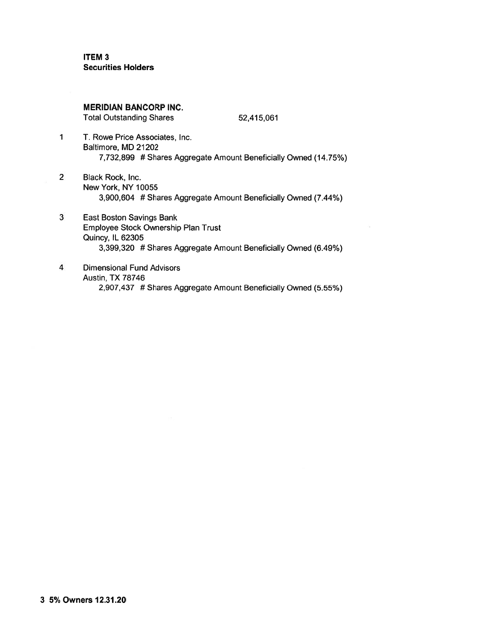**ITEM3 Securities Holders** 

**MERIDIAN BANCORP INC.** 

**Total Outstanding Shares** 

52,415,061

- 1 T. Rowe Price Associates, Inc. Baltimore, MD 21202 7,732,899 # Shares Aggregate Amount Beneficially Owned (14.75%)
- $\overline{2}$ Black Rock, Inc. New York, NY 10055 3,900,604 # Shares Aggregate Amount Beneficially Owned (7.44%)
- 3 **East Boston Savings Bank** Employee Stock Ownership Plan Trust **Quincy, IL 62305** 3,399,320 # Shares Aggregate Amount Beneficially Owned (6.49%)
- 4 **Dimensional Fund Advisors Austin, TX 78746** 2,907,437 # Shares Aggregate Amount Beneficially Owned (5.55%)